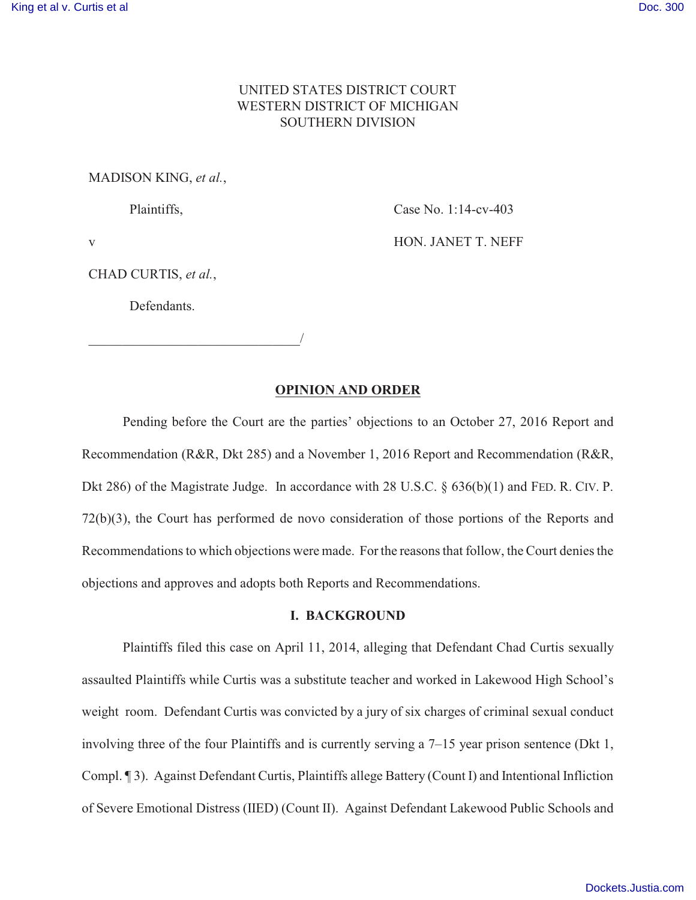# UNITED STATES DISTRICT COURT WESTERN DISTRICT OF MICHIGAN SOUTHERN DIVISION

# MADISON KING, *et al.*,

Plaintiffs,

Case No. 1:14-cv-403

HON. JANET T. NEFF

v

CHAD CURTIS, *et al.*,

Defendants.

\_\_\_\_\_\_\_\_\_\_\_\_\_\_\_\_\_\_\_\_\_\_\_\_\_\_\_\_\_\_\_/

**OPINION AND ORDER**

Pending before the Court are the parties' objections to an October 27, 2016 Report and Recommendation (R&R, Dkt 285) and a November 1, 2016 Report and Recommendation (R&R, Dkt 286) of the Magistrate Judge. In accordance with 28 U.S.C. § 636(b)(1) and FED. R. CIV. P. 72(b)(3), the Court has performed de novo consideration of those portions of the Reports and Recommendations to which objections were made. For the reasons that follow, the Court denies the objections and approves and adopts both Reports and Recommendations.

# **I. BACKGROUND**

Plaintiffs filed this case on April 11, 2014, alleging that Defendant Chad Curtis sexually assaulted Plaintiffs while Curtis was a substitute teacher and worked in Lakewood High School's weight room. Defendant Curtis was convicted by a jury of six charges of criminal sexual conduct involving three of the four Plaintiffs and is currently serving a 7–15 year prison sentence (Dkt 1, Compl. ¶ 3). Against Defendant Curtis, Plaintiffs allege Battery (Count I) and Intentional Infliction of Severe Emotional Distress (IIED) (Count II). Against Defendant Lakewood Public Schools and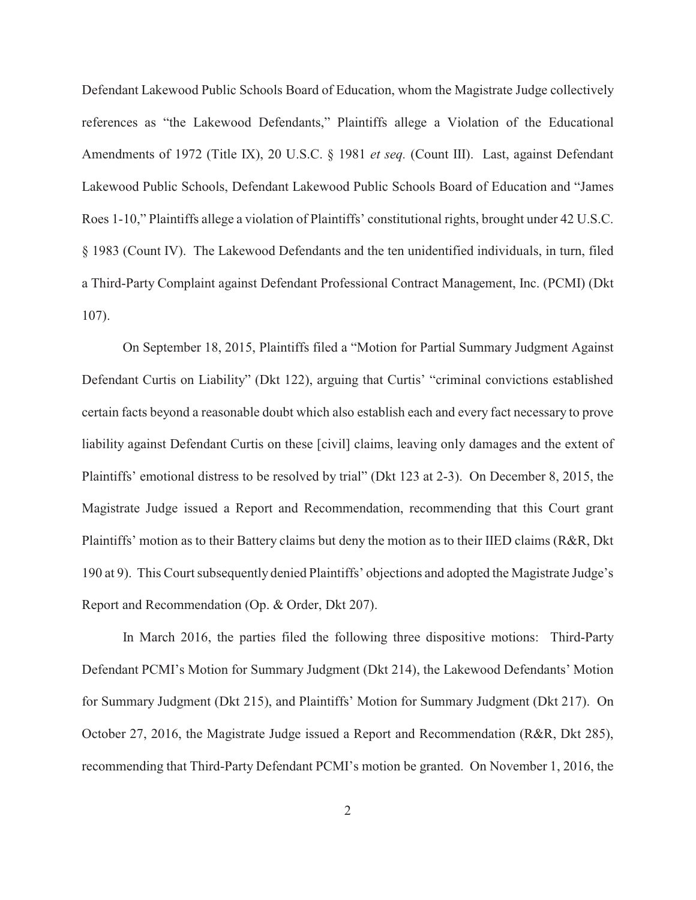Defendant Lakewood Public Schools Board of Education, whom the Magistrate Judge collectively references as "the Lakewood Defendants," Plaintiffs allege a Violation of the Educational Amendments of 1972 (Title IX), 20 U.S.C. § 1981 *et seq.* (Count III). Last, against Defendant Lakewood Public Schools, Defendant Lakewood Public Schools Board of Education and "James Roes 1-10," Plaintiffs allege a violation of Plaintiffs' constitutional rights, brought under 42 U.S.C. § 1983 (Count IV). The Lakewood Defendants and the ten unidentified individuals, in turn, filed a Third-Party Complaint against Defendant Professional Contract Management, Inc. (PCMI) (Dkt 107).

On September 18, 2015, Plaintiffs filed a "Motion for Partial Summary Judgment Against Defendant Curtis on Liability" (Dkt 122), arguing that Curtis' "criminal convictions established certain facts beyond a reasonable doubt which also establish each and every fact necessary to prove liability against Defendant Curtis on these [civil] claims, leaving only damages and the extent of Plaintiffs' emotional distress to be resolved by trial" (Dkt 123 at 2-3). On December 8, 2015, the Magistrate Judge issued a Report and Recommendation, recommending that this Court grant Plaintiffs' motion as to their Battery claims but deny the motion as to their IIED claims (R&R, Dkt 190 at 9). This Court subsequently denied Plaintiffs' objections and adopted the Magistrate Judge's Report and Recommendation (Op. & Order, Dkt 207).

In March 2016, the parties filed the following three dispositive motions: Third-Party Defendant PCMI's Motion for Summary Judgment (Dkt 214), the Lakewood Defendants' Motion for Summary Judgment (Dkt 215), and Plaintiffs' Motion for Summary Judgment (Dkt 217). On October 27, 2016, the Magistrate Judge issued a Report and Recommendation (R&R, Dkt 285), recommending that Third-Party Defendant PCMI's motion be granted. On November 1, 2016, the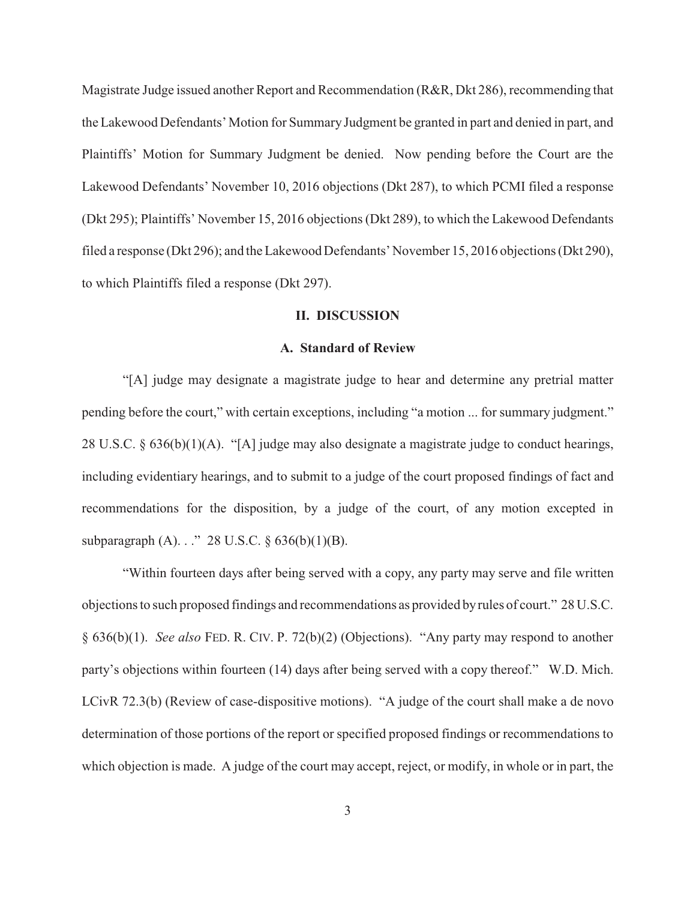Magistrate Judge issued another Report and Recommendation (R&R, Dkt 286), recommending that the Lakewood Defendants' Motion for Summary Judgment be granted in part and denied in part, and Plaintiffs' Motion for Summary Judgment be denied. Now pending before the Court are the Lakewood Defendants' November 10, 2016 objections (Dkt 287), to which PCMI filed a response (Dkt 295); Plaintiffs' November 15, 2016 objections (Dkt 289), to which the Lakewood Defendants filed a response (Dkt 296); and the Lakewood Defendants' November 15, 2016 objections (Dkt 290), to which Plaintiffs filed a response (Dkt 297).

# **II. DISCUSSION**

#### **A. Standard of Review**

"[A] judge may designate a magistrate judge to hear and determine any pretrial matter pending before the court," with certain exceptions, including "a motion ... for summary judgment." 28 U.S.C. § 636(b)(1)(A). "[A] judge may also designate a magistrate judge to conduct hearings, including evidentiary hearings, and to submit to a judge of the court proposed findings of fact and recommendations for the disposition, by a judge of the court, of any motion excepted in subparagraph (A). . . . . 28 U.S.C.  $\S 636(b)(1)(B)$ .

"Within fourteen days after being served with a copy, any party may serve and file written objections to such proposed findings and recommendations as provided by rules of court." 28 U.S.C. § 636(b)(1). *See also* FED. R. CIV. P. 72(b)(2) (Objections). "Any party may respond to another party's objections within fourteen (14) days after being served with a copy thereof." W.D. Mich. LCivR 72.3(b) (Review of case-dispositive motions). "A judge of the court shall make a de novo determination of those portions of the report or specified proposed findings or recommendations to which objection is made. A judge of the court may accept, reject, or modify, in whole or in part, the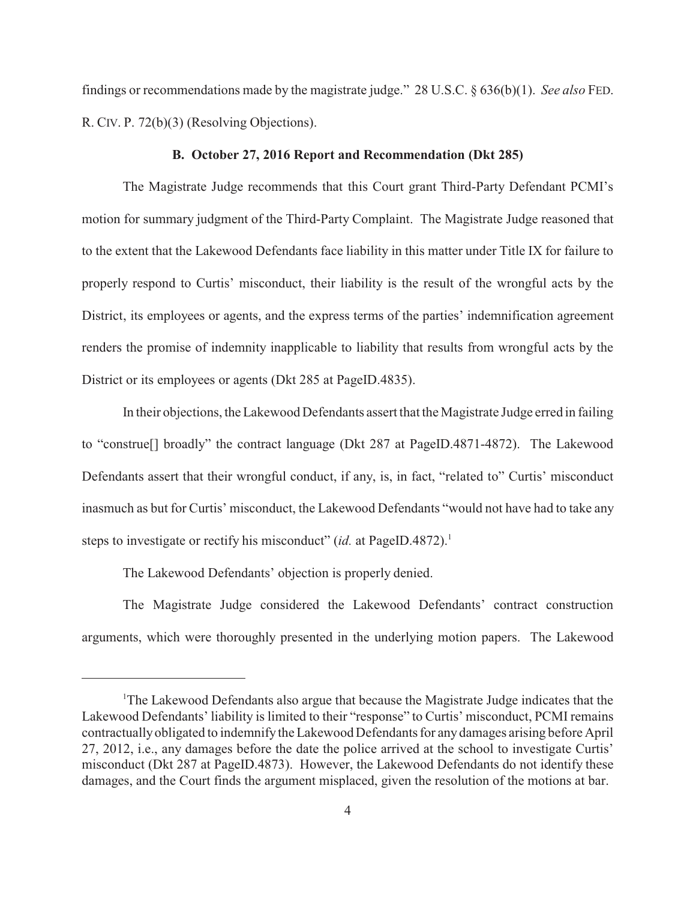findings or recommendations made by the magistrate judge." 28 U.S.C. § 636(b)(1). *See also* FED. R. CIV. P. 72(b)(3) (Resolving Objections).

#### **B. October 27, 2016 Report and Recommendation (Dkt 285)**

The Magistrate Judge recommends that this Court grant Third-Party Defendant PCMI's motion for summary judgment of the Third-Party Complaint. The Magistrate Judge reasoned that to the extent that the Lakewood Defendants face liability in this matter under Title IX for failure to properly respond to Curtis' misconduct, their liability is the result of the wrongful acts by the District, its employees or agents, and the express terms of the parties' indemnification agreement renders the promise of indemnity inapplicable to liability that results from wrongful acts by the District or its employees or agents (Dkt 285 at PageID.4835).

In their objections, the Lakewood Defendants assert that the Magistrate Judge erred in failing to "construe[] broadly" the contract language (Dkt 287 at PageID.4871-4872). The Lakewood Defendants assert that their wrongful conduct, if any, is, in fact, "related to" Curtis' misconduct inasmuch as but for Curtis' misconduct, the Lakewood Defendants "would not have had to take any steps to investigate or rectify his misconduct" (*id.* at PageID.4872).<sup>1</sup>

The Lakewood Defendants' objection is properly denied.

The Magistrate Judge considered the Lakewood Defendants' contract construction arguments, which were thoroughly presented in the underlying motion papers. The Lakewood

<sup>&</sup>lt;sup>1</sup>The Lakewood Defendants also argue that because the Magistrate Judge indicates that the Lakewood Defendants' liability is limited to their "response" to Curtis' misconduct, PCMI remains contractually obligated to indemnify the Lakewood Defendants for any damages arising before April 27, 2012, i.e., any damages before the date the police arrived at the school to investigate Curtis' misconduct (Dkt 287 at PageID.4873). However, the Lakewood Defendants do not identify these damages, and the Court finds the argument misplaced, given the resolution of the motions at bar.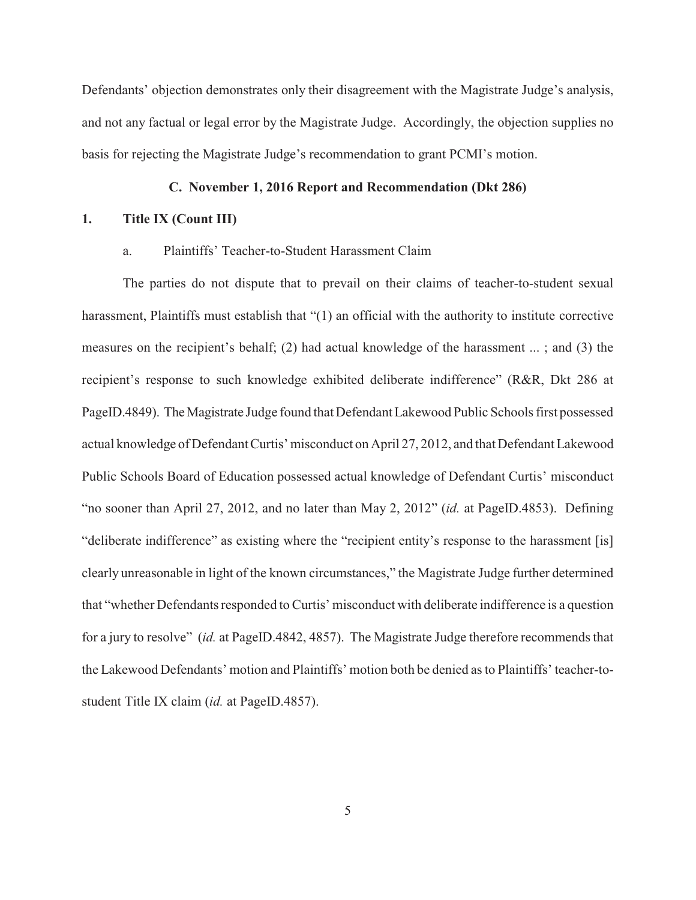Defendants' objection demonstrates only their disagreement with the Magistrate Judge's analysis, and not any factual or legal error by the Magistrate Judge. Accordingly, the objection supplies no basis for rejecting the Magistrate Judge's recommendation to grant PCMI's motion.

# **C. November 1, 2016 Report and Recommendation (Dkt 286)**

# **1. Title IX (Count III)**

# a. Plaintiffs' Teacher-to-Student Harassment Claim

The parties do not dispute that to prevail on their claims of teacher-to-student sexual harassment, Plaintiffs must establish that "(1) an official with the authority to institute corrective measures on the recipient's behalf; (2) had actual knowledge of the harassment ... ; and (3) the recipient's response to such knowledge exhibited deliberate indifference" (R&R, Dkt 286 at PageID.4849). The Magistrate Judge found that Defendant Lakewood Public Schools first possessed actual knowledge of Defendant Curtis' misconduct on April 27, 2012, and that Defendant Lakewood Public Schools Board of Education possessed actual knowledge of Defendant Curtis' misconduct "no sooner than April 27, 2012, and no later than May 2, 2012" (*id.* at PageID.4853). Defining "deliberate indifference" as existing where the "recipient entity's response to the harassment [is] clearly unreasonable in light of the known circumstances," the Magistrate Judge further determined that "whether Defendants responded to Curtis' misconduct with deliberate indifference is a question for a jury to resolve" (*id.* at PageID.4842, 4857). The Magistrate Judge therefore recommends that the Lakewood Defendants' motion and Plaintiffs' motion both be denied as to Plaintiffs' teacher-tostudent Title IX claim (*id.* at PageID.4857).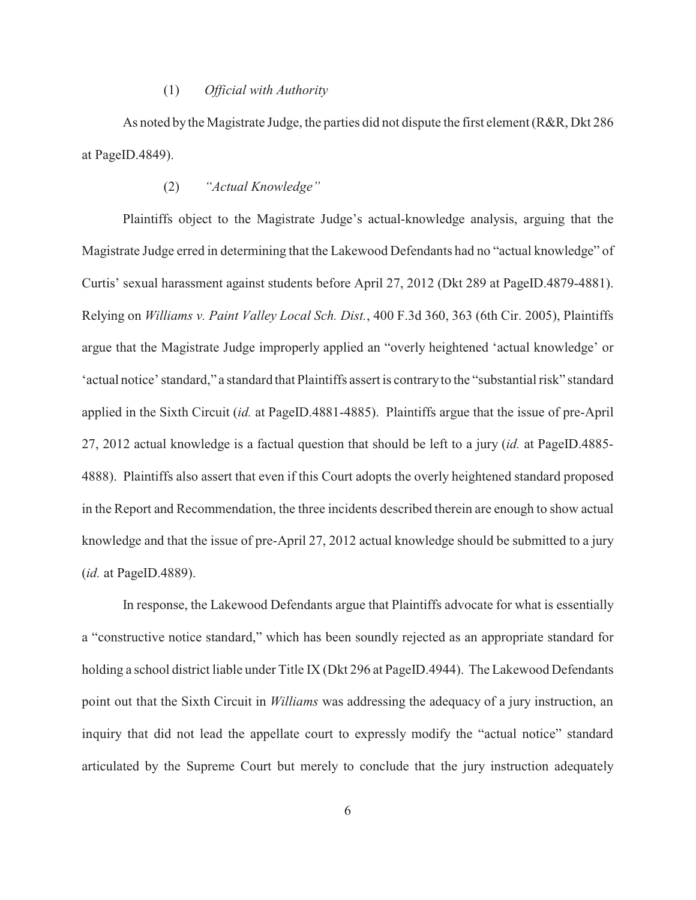# (1) *Official with Authority*

As noted by the Magistrate Judge, the parties did not dispute the first element (R&R, Dkt 286 at PageID.4849).

# (2) *"Actual Knowledge"*

Plaintiffs object to the Magistrate Judge's actual-knowledge analysis, arguing that the Magistrate Judge erred in determining that the Lakewood Defendants had no "actual knowledge" of Curtis' sexual harassment against students before April 27, 2012 (Dkt 289 at PageID.4879-4881). Relying on *Williams v. Paint Valley Local Sch. Dist.*, 400 F.3d 360, 363 (6th Cir. 2005), Plaintiffs argue that the Magistrate Judge improperly applied an "overly heightened 'actual knowledge' or 'actual notice' standard," a standard that Plaintiffs assert is contrary to the "substantial risk" standard applied in the Sixth Circuit (*id.* at PageID.4881-4885). Plaintiffs argue that the issue of pre-April 27, 2012 actual knowledge is a factual question that should be left to a jury (*id.* at PageID.4885- 4888). Plaintiffs also assert that even if this Court adopts the overly heightened standard proposed in the Report and Recommendation, the three incidents described therein are enough to show actual knowledge and that the issue of pre-April 27, 2012 actual knowledge should be submitted to a jury (*id.* at PageID.4889).

In response, the Lakewood Defendants argue that Plaintiffs advocate for what is essentially a "constructive notice standard," which has been soundly rejected as an appropriate standard for holding a school district liable under Title IX (Dkt 296 at PageID.4944). The Lakewood Defendants point out that the Sixth Circuit in *Williams* was addressing the adequacy of a jury instruction, an inquiry that did not lead the appellate court to expressly modify the "actual notice" standard articulated by the Supreme Court but merely to conclude that the jury instruction adequately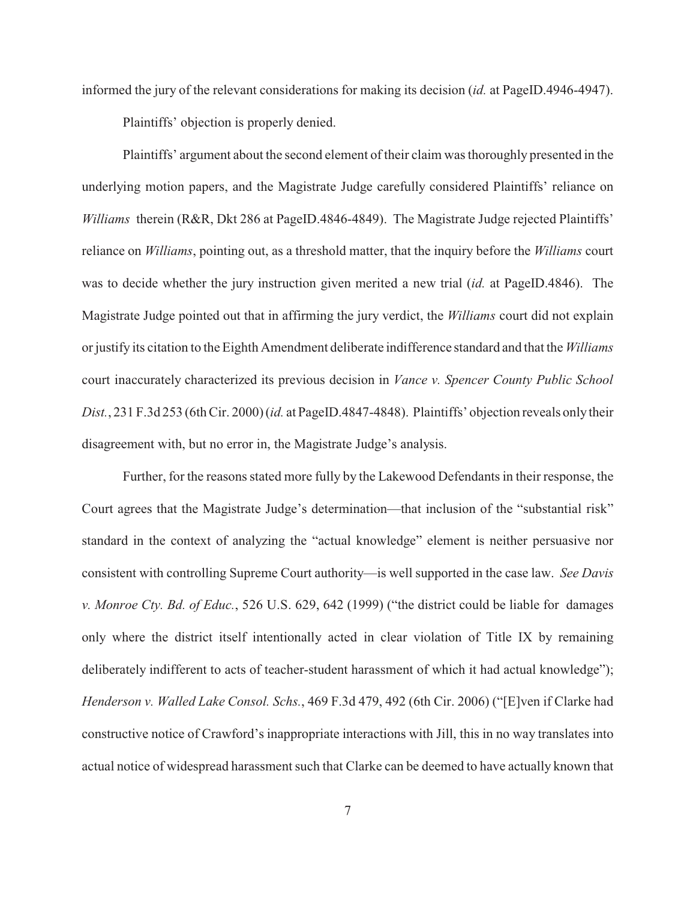informed the jury of the relevant considerations for making its decision (*id.* at PageID.4946-4947).

Plaintiffs' objection is properly denied.

Plaintiffs' argument about the second element of their claim was thoroughly presented in the underlying motion papers, and the Magistrate Judge carefully considered Plaintiffs' reliance on *Williams* therein (R&R, Dkt 286 at PageID.4846-4849). The Magistrate Judge rejected Plaintiffs' reliance on *Williams*, pointing out, as a threshold matter, that the inquiry before the *Williams* court was to decide whether the jury instruction given merited a new trial (*id.* at PageID.4846). The Magistrate Judge pointed out that in affirming the jury verdict, the *Williams* court did not explain or justify its citation to the Eighth Amendment deliberate indifference standard and that the *Williams* court inaccurately characterized its previous decision in *Vance v. Spencer County Public School Dist.*, 231 F.3d 253 (6th Cir. 2000) (*id.* at PageID.4847-4848). Plaintiffs' objection reveals only their disagreement with, but no error in, the Magistrate Judge's analysis.

Further, for the reasons stated more fully by the Lakewood Defendants in their response, the Court agrees that the Magistrate Judge's determination—that inclusion of the "substantial risk" standard in the context of analyzing the "actual knowledge" element is neither persuasive nor consistent with controlling Supreme Court authority—is well supported in the case law. *See Davis v. Monroe Cty. Bd. of Educ.*, 526 U.S. 629, 642 (1999) ("the district could be liable for damages only where the district itself intentionally acted in clear violation of Title IX by remaining deliberately indifferent to acts of teacher-student harassment of which it had actual knowledge"); *Henderson v. Walled Lake Consol. Schs.*, 469 F.3d 479, 492 (6th Cir. 2006) ("[E]ven if Clarke had constructive notice of Crawford's inappropriate interactions with Jill, this in no way translates into actual notice of widespread harassment such that Clarke can be deemed to have actually known that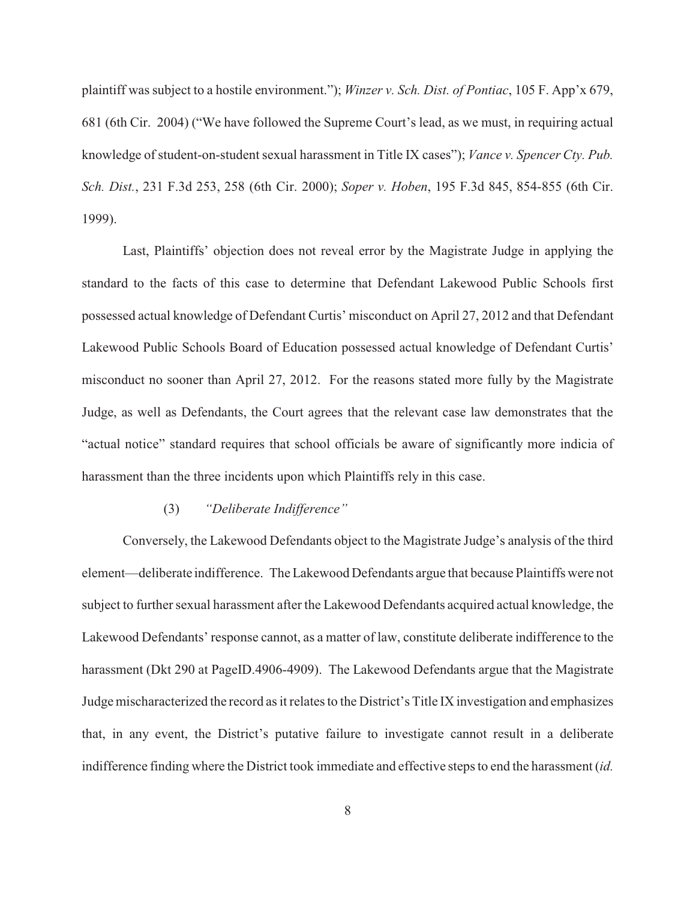plaintiff was subject to a hostile environment."); *Winzer v. Sch. Dist. of Pontiac*, 105 F. App'x 679, 681 (6th Cir. 2004) ("We have followed the Supreme Court's lead, as we must, in requiring actual knowledge of student-on-student sexual harassment in Title IX cases"); *Vance v. Spencer Cty. Pub. Sch. Dist.*, 231 F.3d 253, 258 (6th Cir. 2000); *Soper v. Hoben*, 195 F.3d 845, 854-855 (6th Cir. 1999).

Last, Plaintiffs' objection does not reveal error by the Magistrate Judge in applying the standard to the facts of this case to determine that Defendant Lakewood Public Schools first possessed actual knowledge of Defendant Curtis' misconduct on April 27, 2012 and that Defendant Lakewood Public Schools Board of Education possessed actual knowledge of Defendant Curtis' misconduct no sooner than April 27, 2012. For the reasons stated more fully by the Magistrate Judge, as well as Defendants, the Court agrees that the relevant case law demonstrates that the "actual notice" standard requires that school officials be aware of significantly more indicia of harassment than the three incidents upon which Plaintiffs rely in this case.

# (3) *"Deliberate Indifference"*

Conversely, the Lakewood Defendants object to the Magistrate Judge's analysis of the third element—deliberate indifference. The Lakewood Defendants argue that because Plaintiffs were not subject to further sexual harassment after the Lakewood Defendants acquired actual knowledge, the Lakewood Defendants' response cannot, as a matter of law, constitute deliberate indifference to the harassment (Dkt 290 at PageID.4906-4909). The Lakewood Defendants argue that the Magistrate Judge mischaracterized the record as it relates to the District's Title IX investigation and emphasizes that, in any event, the District's putative failure to investigate cannot result in a deliberate indifference finding where the District took immediate and effective steps to end the harassment (*id.*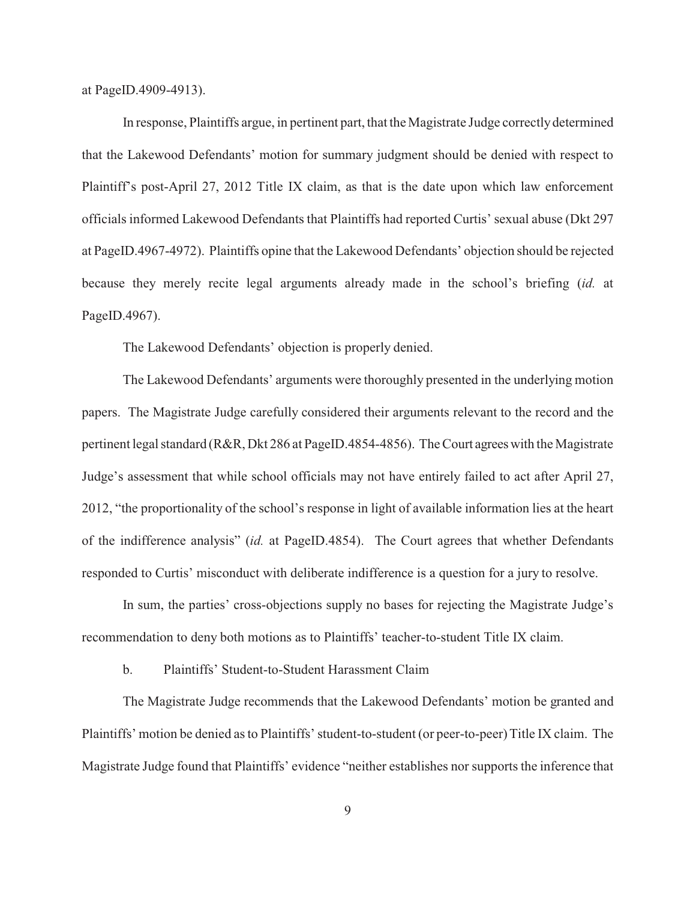at PageID.4909-4913).

In response, Plaintiffs argue, in pertinent part, that the Magistrate Judge correctly determined that the Lakewood Defendants' motion for summary judgment should be denied with respect to Plaintiff's post-April 27, 2012 Title IX claim, as that is the date upon which law enforcement officials informed Lakewood Defendants that Plaintiffs had reported Curtis' sexual abuse (Dkt 297 at PageID.4967-4972). Plaintiffs opine that the Lakewood Defendants' objection should be rejected because they merely recite legal arguments already made in the school's briefing (*id.* at PageID.4967).

The Lakewood Defendants' objection is properly denied.

The Lakewood Defendants' arguments were thoroughly presented in the underlying motion papers. The Magistrate Judge carefully considered their arguments relevant to the record and the pertinent legal standard (R&R, Dkt 286 at PageID.4854-4856). The Court agrees with the Magistrate Judge's assessment that while school officials may not have entirely failed to act after April 27, 2012, "the proportionality of the school's response in light of available information lies at the heart of the indifference analysis" (*id.* at PageID.4854). The Court agrees that whether Defendants responded to Curtis' misconduct with deliberate indifference is a question for a jury to resolve.

In sum, the parties' cross-objections supply no bases for rejecting the Magistrate Judge's recommendation to deny both motions as to Plaintiffs' teacher-to-student Title IX claim.

b. Plaintiffs' Student-to-Student Harassment Claim

The Magistrate Judge recommends that the Lakewood Defendants' motion be granted and Plaintiffs' motion be denied as to Plaintiffs' student-to-student (or peer-to-peer) Title IX claim. The Magistrate Judge found that Plaintiffs' evidence "neither establishes nor supports the inference that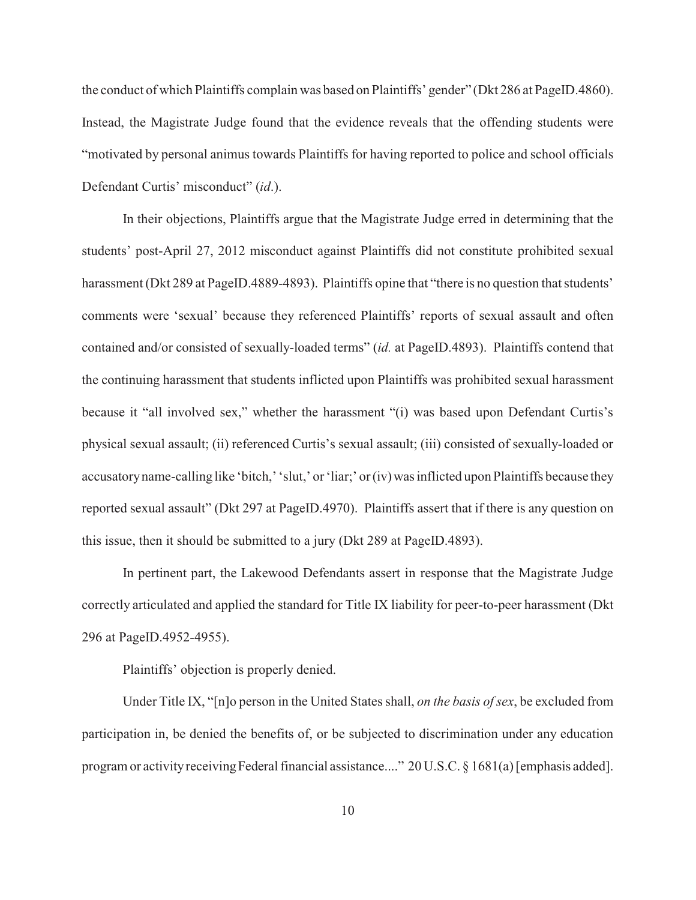the conduct of which Plaintiffs complain was based on Plaintiffs' gender" (Dkt 286 at PageID.4860). Instead, the Magistrate Judge found that the evidence reveals that the offending students were "motivated by personal animus towards Plaintiffs for having reported to police and school officials Defendant Curtis' misconduct" (*id*.).

In their objections, Plaintiffs argue that the Magistrate Judge erred in determining that the students' post-April 27, 2012 misconduct against Plaintiffs did not constitute prohibited sexual harassment (Dkt 289 at PageID.4889-4893). Plaintiffs opine that "there is no question that students" comments were 'sexual' because they referenced Plaintiffs' reports of sexual assault and often contained and/or consisted of sexually-loaded terms" (*id.* at PageID.4893). Plaintiffs contend that the continuing harassment that students inflicted upon Plaintiffs was prohibited sexual harassment because it "all involved sex," whether the harassment "(i) was based upon Defendant Curtis's physical sexual assault; (ii) referenced Curtis's sexual assault; (iii) consisted of sexually-loaded or accusatory name-calling like 'bitch,' 'slut,' or 'liar;' or (iv) was inflicted upon Plaintiffs because they reported sexual assault" (Dkt 297 at PageID.4970). Plaintiffs assert that if there is any question on this issue, then it should be submitted to a jury (Dkt 289 at PageID.4893).

In pertinent part, the Lakewood Defendants assert in response that the Magistrate Judge correctly articulated and applied the standard for Title IX liability for peer-to-peer harassment (Dkt 296 at PageID.4952-4955).

Plaintiffs' objection is properly denied.

Under Title IX, "[n]o person in the United States shall, *on the basis of sex*, be excluded from participation in, be denied the benefits of, or be subjected to discrimination under any education program or activity receiving Federal financial assistance...." 20 U.S.C. § 1681(a) [emphasis added].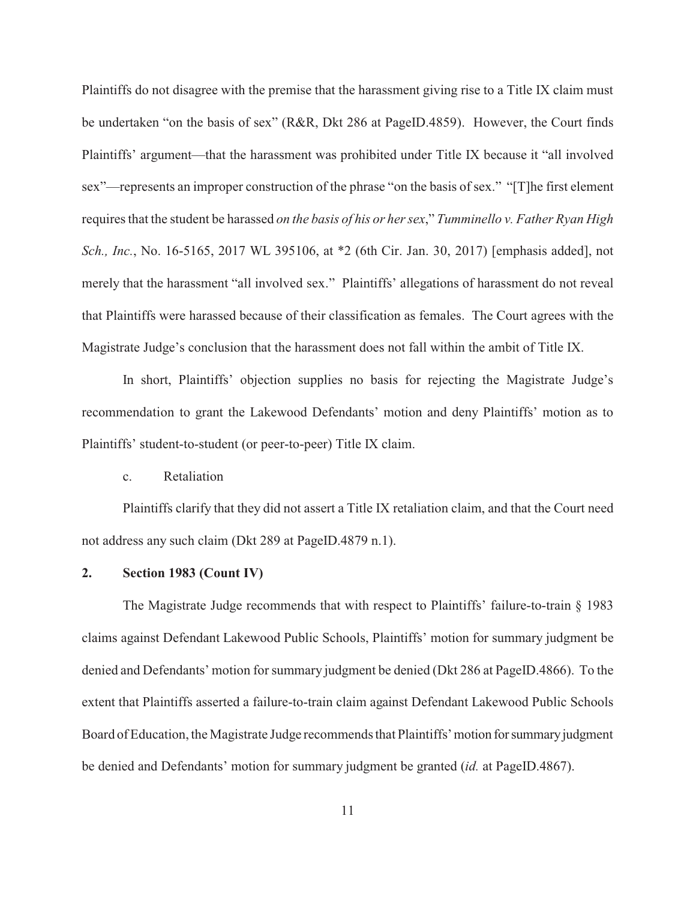Plaintiffs do not disagree with the premise that the harassment giving rise to a Title IX claim must be undertaken "on the basis of sex" (R&R, Dkt 286 at PageID.4859). However, the Court finds Plaintiffs' argument—that the harassment was prohibited under Title IX because it "all involved sex"—represents an improper construction of the phrase "on the basis of sex." "[T]he first element requires that the student be harassed *on the basis of his or her sex*," *Tumminello v. Father Ryan High Sch., Inc.*, No. 16-5165, 2017 WL 395106, at \*2 (6th Cir. Jan. 30, 2017) [emphasis added], not merely that the harassment "all involved sex." Plaintiffs' allegations of harassment do not reveal that Plaintiffs were harassed because of their classification as females. The Court agrees with the Magistrate Judge's conclusion that the harassment does not fall within the ambit of Title IX.

In short, Plaintiffs' objection supplies no basis for rejecting the Magistrate Judge's recommendation to grant the Lakewood Defendants' motion and deny Plaintiffs' motion as to Plaintiffs' student-to-student (or peer-to-peer) Title IX claim.

# c. Retaliation

Plaintiffs clarify that they did not assert a Title IX retaliation claim, and that the Court need not address any such claim (Dkt 289 at PageID.4879 n.1).

#### **2. Section 1983 (Count IV)**

The Magistrate Judge recommends that with respect to Plaintiffs' failure-to-train § 1983 claims against Defendant Lakewood Public Schools, Plaintiffs' motion for summary judgment be denied and Defendants' motion for summary judgment be denied (Dkt 286 at PageID.4866). To the extent that Plaintiffs asserted a failure-to-train claim against Defendant Lakewood Public Schools Board of Education, the Magistrate Judge recommends that Plaintiffs' motion for summary judgment be denied and Defendants' motion for summary judgment be granted (*id.* at PageID.4867).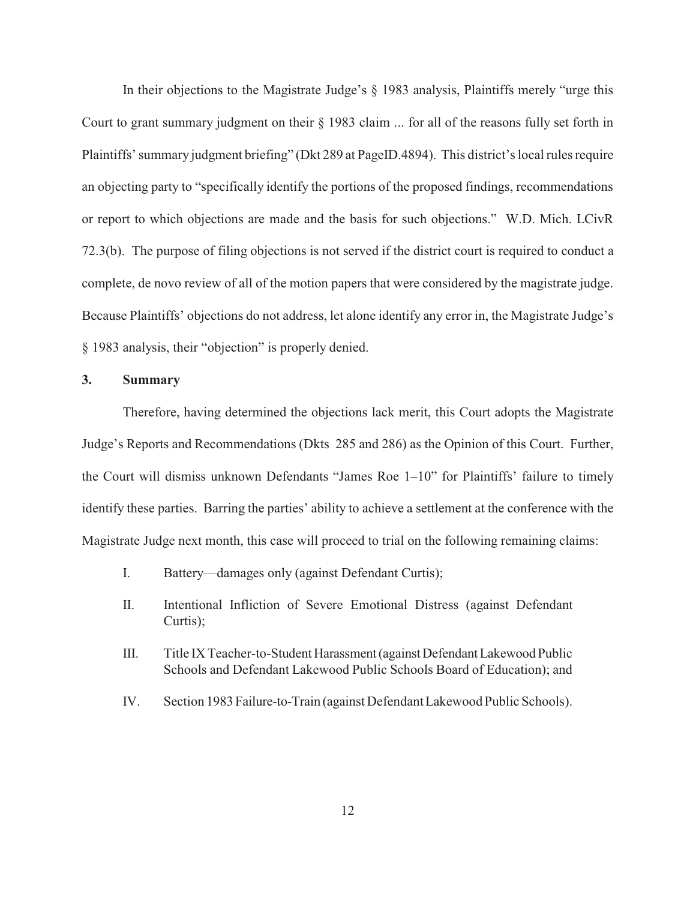In their objections to the Magistrate Judge's § 1983 analysis, Plaintiffs merely "urge this Court to grant summary judgment on their § 1983 claim ... for all of the reasons fully set forth in Plaintiffs' summary judgment briefing" (Dkt 289 at PageID.4894). This district's local rules require an objecting party to "specifically identify the portions of the proposed findings, recommendations or report to which objections are made and the basis for such objections." W.D. Mich. LCivR 72.3(b). The purpose of filing objections is not served if the district court is required to conduct a complete, de novo review of all of the motion papers that were considered by the magistrate judge. Because Plaintiffs' objections do not address, let alone identify any error in, the Magistrate Judge's § 1983 analysis, their "objection" is properly denied.

# **3. Summary**

Therefore, having determined the objections lack merit, this Court adopts the Magistrate Judge's Reports and Recommendations (Dkts 285 and 286) as the Opinion of this Court. Further, the Court will dismiss unknown Defendants "James Roe 1–10" for Plaintiffs' failure to timely identify these parties. Barring the parties' ability to achieve a settlement at the conference with the Magistrate Judge next month, this case will proceed to trial on the following remaining claims:

- I. Battery—damages only (against Defendant Curtis);
- II. Intentional Infliction of Severe Emotional Distress (against Defendant Curtis);
- III. Title IX Teacher-to-Student Harassment (against Defendant Lakewood Public Schools and Defendant Lakewood Public Schools Board of Education); and
- IV. Section 1983 Failure-to-Train (against Defendant Lakewood Public Schools).